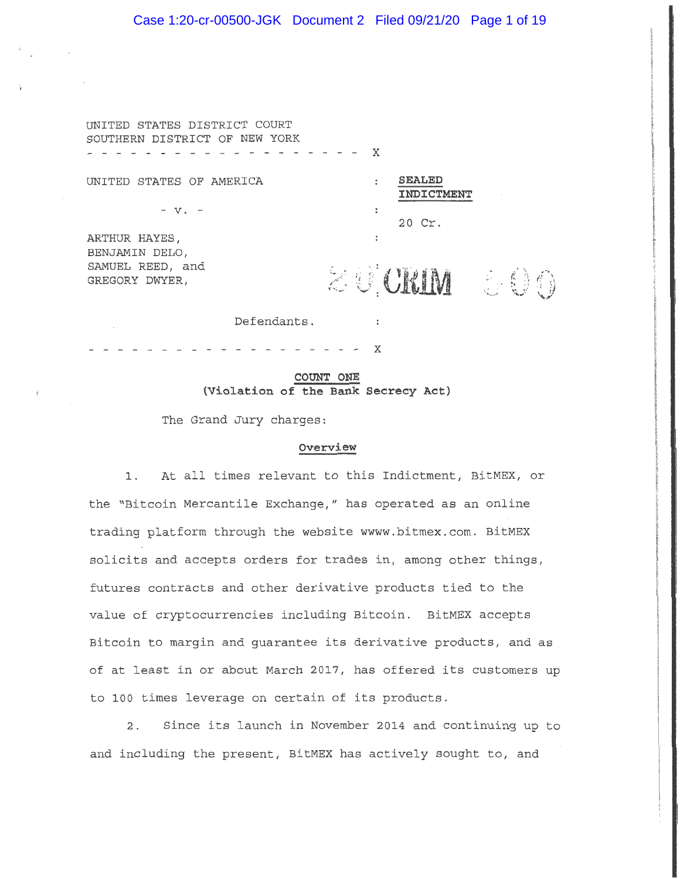# Case 1:20-cr-00500-JGK Document 2 Filed 09/21/20 Page 1 of 19

UNITED STATES DISTRICT COURT SOUTHERN DISTRICT OF NEW YORK - - - - **X** 

UNITED STATES OF AMERICA

- V. -

ARTHUR HAYES, BENJAMIN DELO, SAMUEL REED, and<br>GREGORY DWYER, **SEALED INDICTMENT** 

20 Cr.

SAMUEL REED, and<br>GREGORY DWYER,  $\ddot{\mathcal{Z}}$   $\ddot{\mathcal{Q}}$   $\ddot{\mathcal{Q}}$   $\ddot{\mathcal{Q}}$   $\ddot{\mathcal{Q}}$   $\ddot{\mathcal{Q}}$   $\ddot{\mathcal{Q}}$   $\ddot{\mathcal{Q}}$ 

Defendants.

**COUNT ONE {Violation of the Bank Secrecy Act)** 

**X** 

 $\cdot$ 

 $\cdot$ 

 $\cdot$ 

The Grand Jury charges:

## **Overview**

1. At all times relevant to this Indictment, BitMEX, or the "Bitcoin Mercantile Exchange," has operated as an online trading platform through the website wwww.bitmex.com. BitMEX solicits and accepts orders for trades in, among other things, futures contracts and other derivative products tied to the value of cryptocurrencies including Bitcoin. BitMEX accepts Bitcoin to margin and guarantee its derivative products, and as of at least in or about March 2017, has offered its customers up to 100 times leverage on certain of its products.

2. Since its launch in November 2014 and continuing up to and including the present, BitMEX has actively sought to, and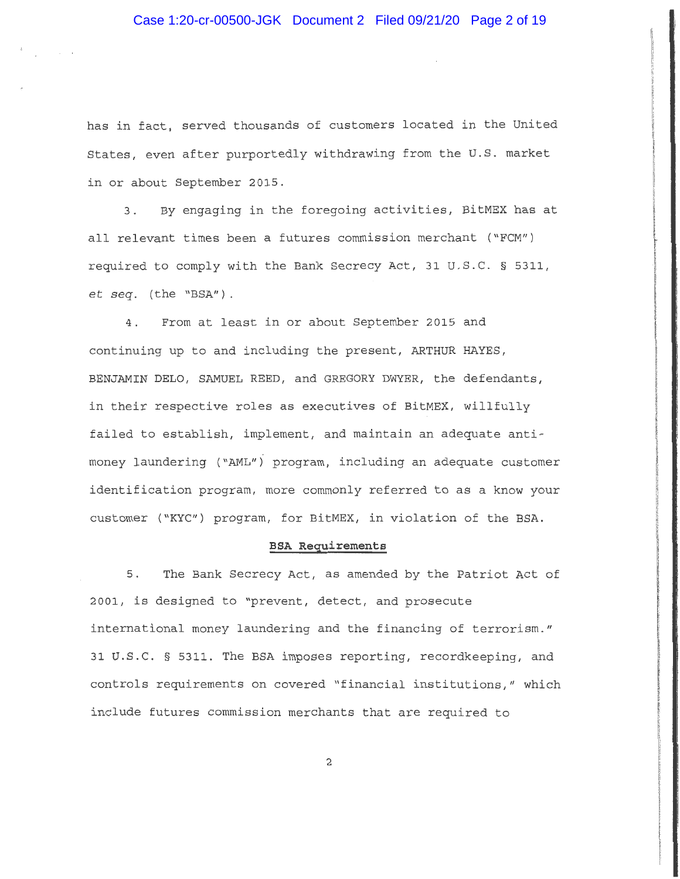has in fact, served thousands of customers located in the United States, even after purportedly withdrawing from the U.S. market in or about September 2015.

3. By engaging in the foregoing activities, BitMEX has at all relevant times been a futures commission merchant ("FCM") required to comply with the Bank Secrecy Act, 31 U. S.C. § 5311, et *seq.* (the "BSA") .

4. From at least in or about September 2015 and continuing up to and including the present, ARTHUR HAYES, BENJAMIN DELO, SAMUEL REED, and GREGORY DWYER, the defendants, in their respective roles as executives of BitMEX, willfully failed to establish, implement, and maintain an adequate antimoney laundering ("AML") program, including an adequate customer identification program, more commonly referred to as a know your customer ("KYC") program, for BitMEX, in violation of the BSA.

## **BSA Requirements**

5. The Bank Secrecy Act, as amended by the Patriot Act of 2001, is designed to "prevent, detect, and prosecute international money laundering and the financing of terrorism." 31 U.S.C. § 5311. The BSA imposes reporting, recordkeeping, and controls requirements on covered "financial institutions," which include futures commission merchants that are required to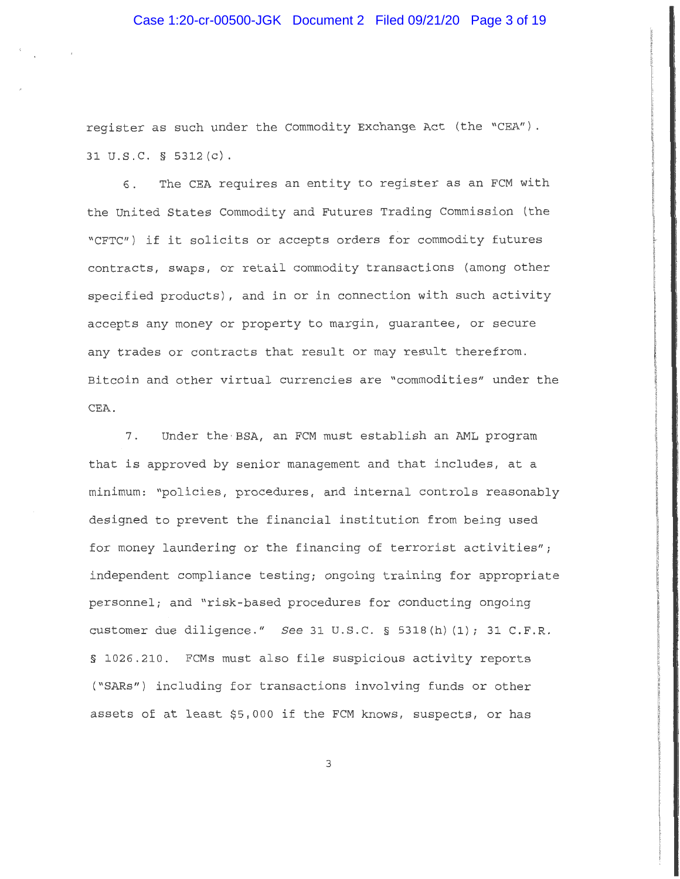# Case 1:20-cr-00500-JGK Document 2 Filed 09/21/20 Page 3 of 19

register as such under the Commodity Exchange Act (the "CEA"). 31 u.s.c. § 5312 (c).

6. The CEA requires an entity to register as an FCM with the United States Commodity and Futures Trading Commission (the "CFTC") if it solicits or accepts orders for commodity futures contracts, swaps, or retail commodity transactions (among other specified products), and in or in connection with such activity accepts any money or property to margin, guarantee, or secure any trades or contracts that result or may result therefrom. Bitcoin and other virtual currencies are "commodities" under the CEA .

7. Under the · BSA, an FCM must establish an AML program that is approved by senior management and that includes, at a minimum: "policies, procedures, and internal controls reasonably designed to prevent the financial institution from being used for money laundering or the financing of terrorist activities"; independent compliance testing; ongoing training for appropriate personnel; and "risk-based procedures for conducting ongoing customer due diligence." See 31 U.S.C. § 5318(h) (1); 31 C.F.R. § 1026.210. FCMs must also file suspicious activity reports ("SARs") including for transactions involving funds or other assets of at least \$5,000 if the FCM knows, suspects, or has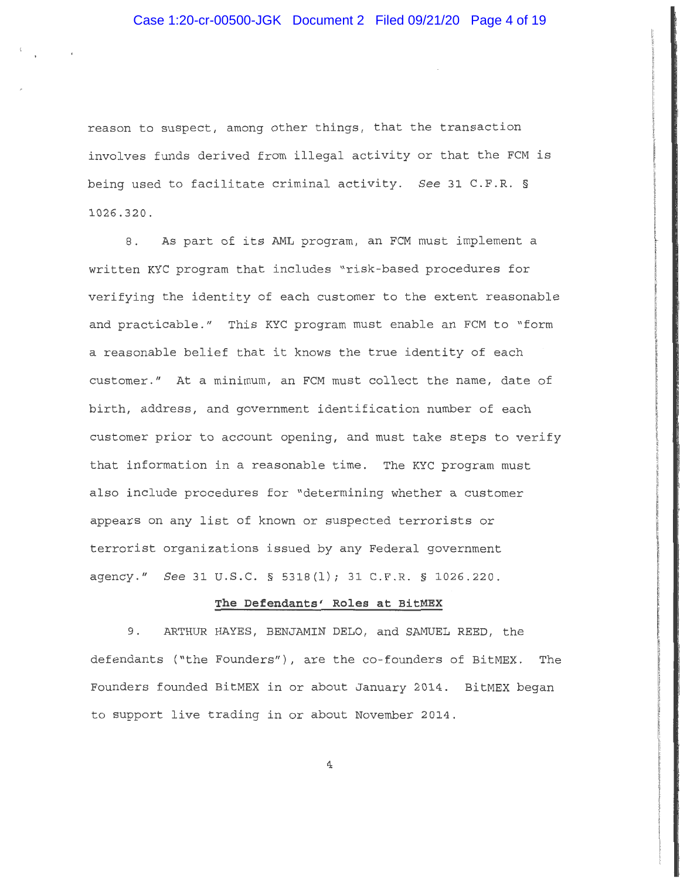reason to suspect, among other things, that the transaction involves funds derived from illegal activity or that the FCM is being used to facilitate criminal activity. *See* 31 C.F.R. § 1026.320.

8. As part of its AML program, an FCM must implement a written KYC program that includes "risk-based procedures for verifying the identity of each customer to the extent reasonable and practicable." This KYC program must enable an FCM to "form a reasonable belief that it knows the true identity of each customer." At a minimum, an FCM must collect the name, date of birth, address, and government identification number of each customer prior to account opening, and must take steps to verify that information in a reasonable time. The KYC program must also include procedures for "determining whether a customer appears on any list of known or suspected terrorists or terrorist organizations issued by any Federal government agency." *See* 31 u.s.c. § 5318(1); 31 C.F.R. § 1026.220.

## **The Defendants' Roles at BitMEX**

9. ARTHUR HAYES, BENJAMIN DELO, and SAMUEL REED, the defendants ("the Founders"), are the co-founders of BitMEX. The Founders founded BitMEX in or about January 2014. BitMEX began to support live trading in or about November 2014.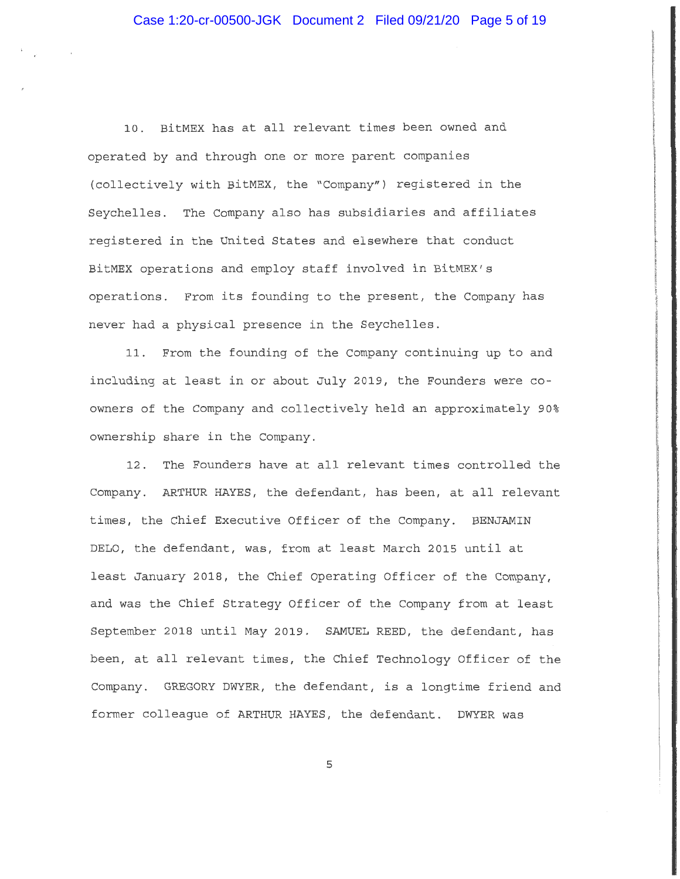10. BitMEX has at all relevant times been owned and operated by and through one or more parent companies (collectively with BitMEX, the "Company") registered in the Seychelles. The Company also has subsidiaries and affiliates registered in the United States and elsewhere that conduct BitMEX operations and employ staff involved in BitMEX's operations. From its founding to the present, the Company has never had a physical presence in the Seychelles.

11. From the founding of the Company continuing up to and including at least in or about July 2019, the Founders were coowners of the Company and collectively held an approximately 90% ownership share in the Company.

12. The Founders have at all relevant times controlled the Company. ARTHUR HAYES, the defendant, has been, at all relevant times, the Chief Executive Officer of the Company. BENJAMIN DELO, the defendant, was, from at least March 2015 until at least January 2018, the Chief Operating Officer of the Company, and was the Chief Strategy Officer of the Company from at least September 2018 until May 2019. SAMUEL REED, the defendant, has been, at all relevant times, the Chief Technology Officer of the Company. GREGORY DWYER, the defendant, is a longtime friend and former colleague of ARTHUR HAYES, the defendant. DWYER was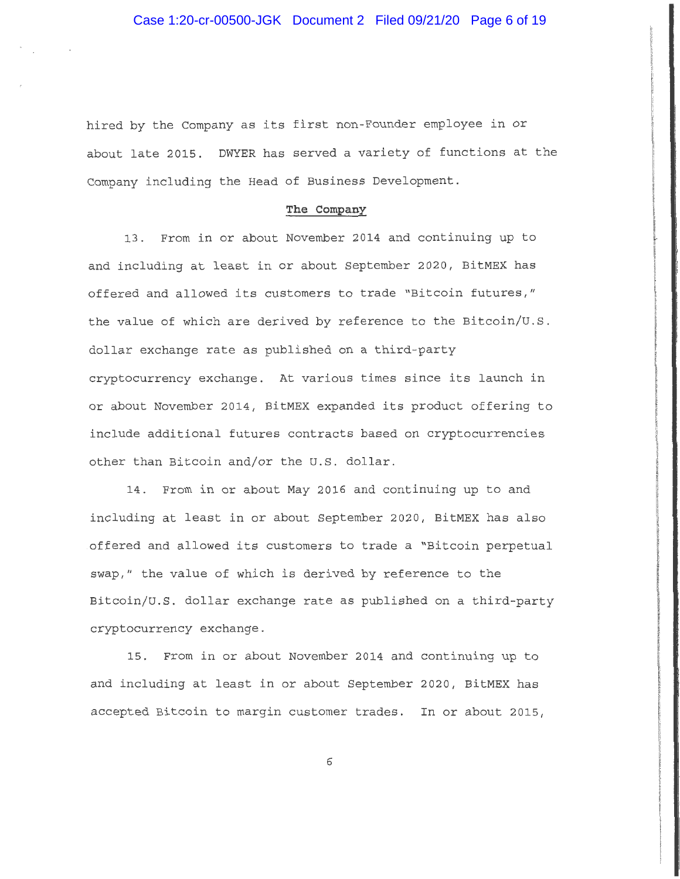hired by the Company as its first non-Founder employee in or about late 2015. DWYER has served a variety of functions at the Company including the Head of Business Development.

# **The Company**

13. From in or about November 2014 and continuing up to and including at least in or about September 2020, BitMEX has offered and allowed its customers to trade "Bitcoin futures," the value of which are derived by reference to the Bitcoin/u.s. dollar exchange rate as published on a third-party cryptocurrency exchange. At various times since its launch in or about November 2014, BitMEX expanded its product offering to include additional futures contracts based on cryptocurrencies other than Bitcoin and/or the U.S. dollar.

14. From in or about May 2016 and continuing up to and including at least in or about September 2020, BitMEX has also offered and allowed its customers to trade a "Bitcoin perpetual swap," the value of which is derived by reference to the Bitcoin/U.S. dollar exchange rate as published on a third-party cryptocurrency exchange.

15. From in or about November 2014 and continuing up to and including at least in or about September 2020, BitMEX has accepted Bitcoin to margin customer trades. In or about 2015,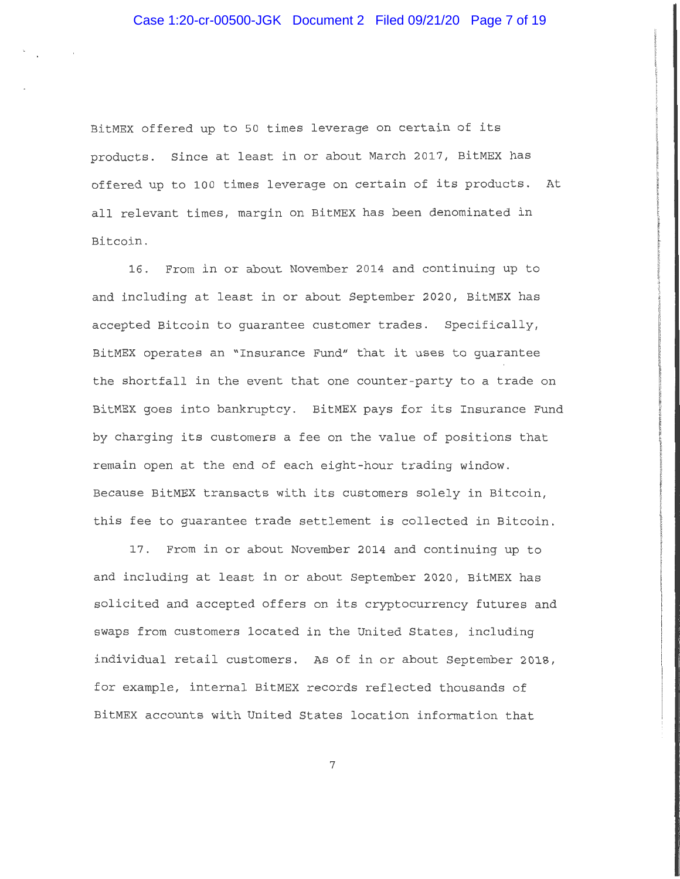BitMEX offered up to 50 times leverage on certain of its products. Since at least in or about March 2017, BitMEX has offered up to 100 times leverage on certain of its products. At all relevant times, margin on BitMEX has been denominated in Bitcoin.

16. From in or about November 2014 and continuing up to and including at least in or about September 2020, BitMEX has accepted Bitcoin to guarantee customer trades. Specifically, BitMEX operates an "Insurance Fund" that it uses to guarantee the shortfall in the event that one counter-party to a trade on BitMEX goes into bankruptcy. BitMEX pays for its Insurance Fund by charging its customers a fee on the value of positions that remain open at the end of each eight-hour trading window. Because BitMEX transacts with its customers solely in Bitcoin, this fee to guarantee trade settlement is collected in Bitcoin.

17. From in or about November 2014 and continuing up to and including at least in or about September 2020, BitMEX has solicited and accepted offers on its cryptocurrency futures and swaps from customers located in the United States, including individual retail customers. As of in or about September 2018, for example, internal BitMEX records reflected thousands of BitMEX accounts with United States location information that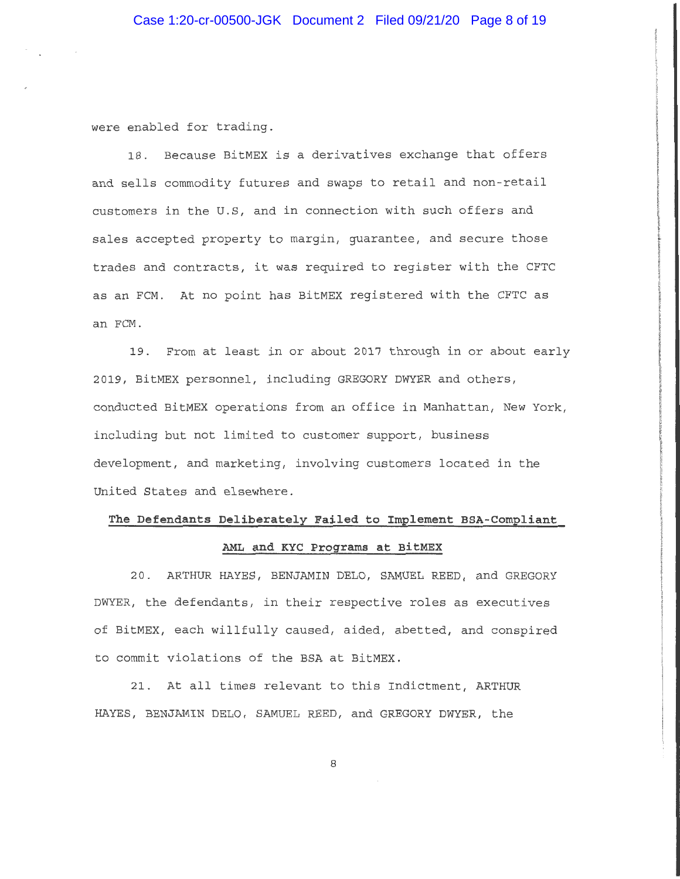were enabled for trading.

18. Because BitMEX is a derivatives exchange that offers and sells commodity futures and swaps to retail and non-retail customers in the U.S, and in connection with such offers and sales accepted property to margin, guarantee, and secure those trades and contracts, it was required to register with the CFTC as an FCM. At no point has BitMEX registered with the CFTC as an FCM.

19. From at least in or about 2017 through in or about early 2019, BitMEX personnel, including GREGORY DWYER and others, conducted BitMEX operations from an office in Manhattan, New York, including but not limited to customer support, business development, and marketing, involving customers located in the United States and elsewhere.

# **The Defendants Deliberately Failed to Implement BSA-Compliant AML and KYC Programs at BitMEX**

20. ARTHUR HAYES, BENJAMIN DELO, SAMUEL REED, and GREGORY DWYER, the defendants, in their respective roles as executives of BitMEX, each willfully caused, aided, abetted, and conspired to commit violations of the BSA at BitMEX.

21. At all times relevant to this Indictment, ARTHUR HAYES, BENJAMIN DELO, SAMUEL REED, and GREGORY DWYER, the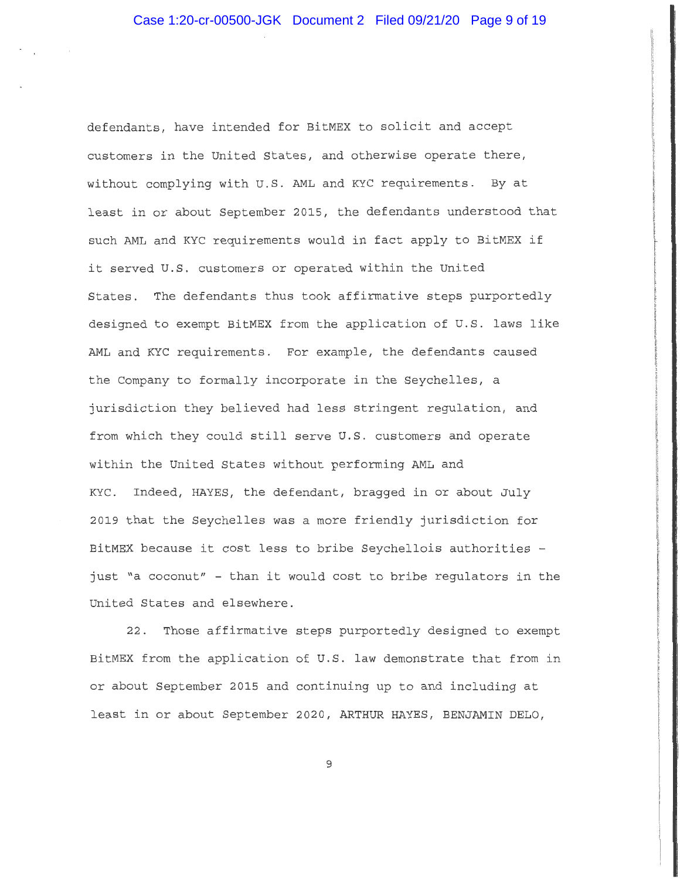defendants, have intended for BitMEX to solicit and accept customers in the United States, and otherwise operate there, without complying with U.S. AML and KYC requirements. By at least in or about September 2015, the defendants understood that such AML and KYC requirements would in fact apply to BitMEX if it served U.S. customers or operated within the United States. The defendants thus took affirmative steps purportedly designed to exempt BitMEX from the application of U.S. laws like AML and KYC requirements. For example, the defendants caused the Company to formally incorporate in the Seychelles, a jurisdiction they believed had less stringent regulation, and from which they could still serve U.S. customers and operate within the United States without performing AML and KYC. Indeed, HAYES, the defendant, bragged in or about July 2019 that the Seychelles was a more friendly jurisdiction for BitMEX because it cost less to bribe Seychellois authorities just "a coconut" - than it would cost to bribe regulators in the United States and elsewhere.

22. Those affirmative steps purportedly designed to exempt BitMEX from the application of U.S. law demonstrate that from in or about September 2015 and continuing up to and including at least in or about September 2020, ARTHUR HAYES, BENJAMIN DELO,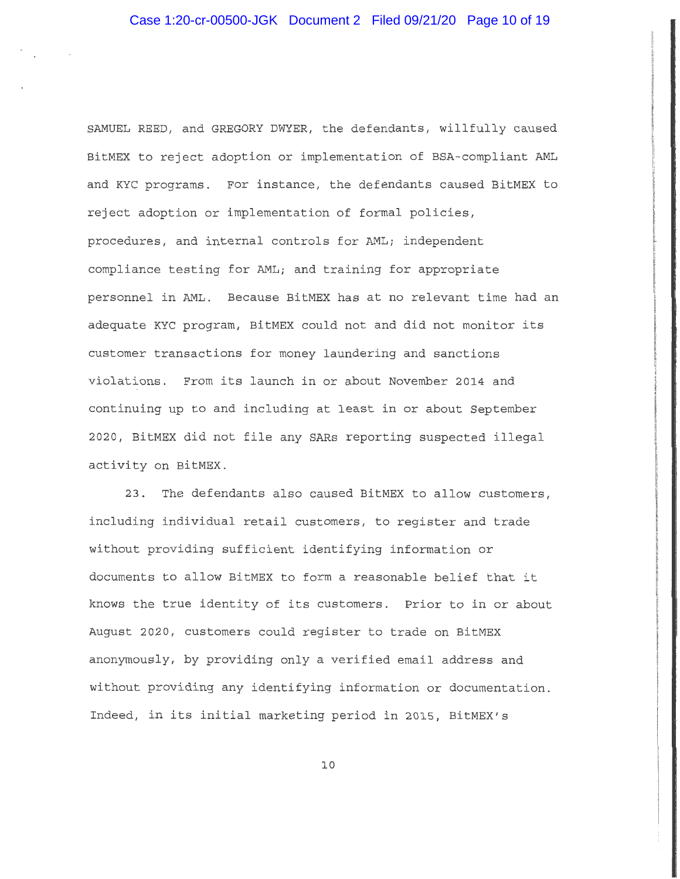SAMUEL REED, and GREGORY DWYER, the defendants, willfully caused BitMEX to reject adoption or implementation of BSA-compliant AML and KYC programs. For instance, the defendants caused BitMEX to reject adoption or implementation of formal policies, procedures, and internal controls for AML; independent compliance testing for AML; and training for appropriate personnel in AML. Because BitMEX has at no relevant time had an adequate KYC program, BitMEX could not and did not monitor its customer transactions for money laundering and sanctions violations. From its launch in or about November 2014 and continuing up to and including at least in or about September 2020, BitMEX did not file any SARs reporting suspected illegal activity on BitMEX.

23. The defendants also caused BitMEX to allow customers, including individual retail customers, to register and trade without providing sufficient identifying information or documents to allow BitMEX to form a reasonable belief that it knows the true identity of its customers. Prior to in or about August 2020, customers could register to trade on BitMEX anonymously, by providing only a verified email address and without providing any identifying information or documentation. Indeed, in its initial marketing period in 2015, BitMEX's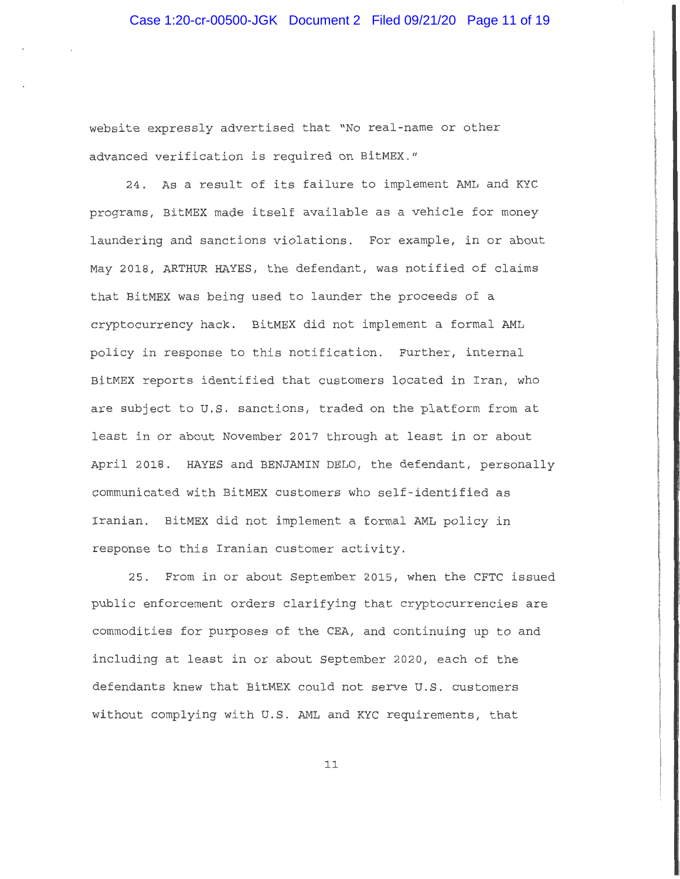website expressly advertised that "No real-name or other advanced verification is required on BitMEX."

24. As a result of its failure to implement AML and KYC programs, BitMEX made itself available as a vehicle for money laundering and sanctions violations. For example, in or about May 2018, ARTHUR HAYES, the defendant, was notified of claims that BitMEX was being used to launder the proceeds of a cryptocurrency hack. BitMEX did not implement a formal AML policy in response to this notification. Further, internal BitMEX reports identified that customers located in Iran, who are subject to U.S. sanctions, traded on the platform from at least in or about November 2017 through at least in or about April 2018. HAYES and BENJAMIN DELO, the defendant, personally communicated with BitMEX customers who self-identified as Iranian. BitMEX did not implement a formal AML policy in response to this Iranian customer activity.

25. From in or about September 2015, when the CFTC issued public enforcement orders clarifying that cryptocurrencies are commodities for purposes of the CEA, and continuing up to and including at least in or about September 2020, each of the defendants knew that BitMEX could not serve U.S. customers without complying with U.S. AML and KYC requirements, that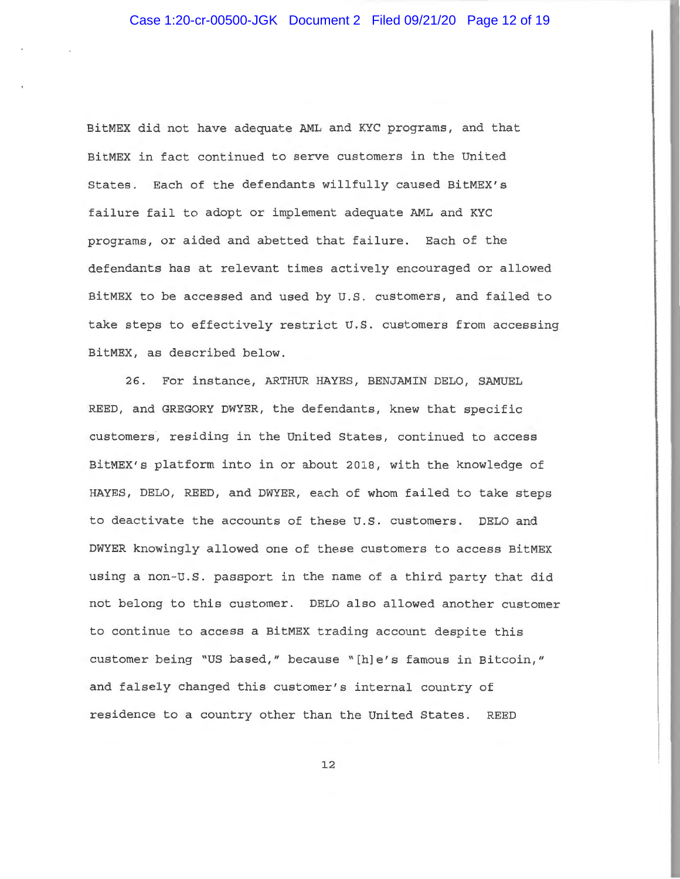BitMEX did not have adequate AML and KYC programs, and that BitMEX in fact continued to serve customers in the United States. Each of the defendants willfully caused BitMEX's failure fail to adopt or implement adequate AML and KYC programs, or aided and abetted that failure. Each of the defendants has at relevant times actively encouraged or allowed BitMEX to be accessed and used by U.S. customers, and failed to take steps to effectively restrict U.S. customers from accessing BitMEX, as described below.

26. For instance, ARTHUR HAYES, BENJAMIN DELO, SAMUEL REED, and GREGORY DWYER, the defendants, knew that specific customers, residing in the United States, continued to access BitMEX's platform into in or about 2018, with the knowledge of HAYES, DELO, REED, and DWYER, each of whom failed to take steps to deactivate the accounts of these U.S. customers. DELO and DWYER knowingly allowed one of these customers to access BitMEX using a non-U.S. passport in the name of a third party that did not belong to this customer. DELO also allowed another customer to continue to access a BitMEX trading account despite this customer being "US based," because "[h]e's famous in Bitcoin," and falsely changed this customer's internal country of residence to a country other than the United States. REED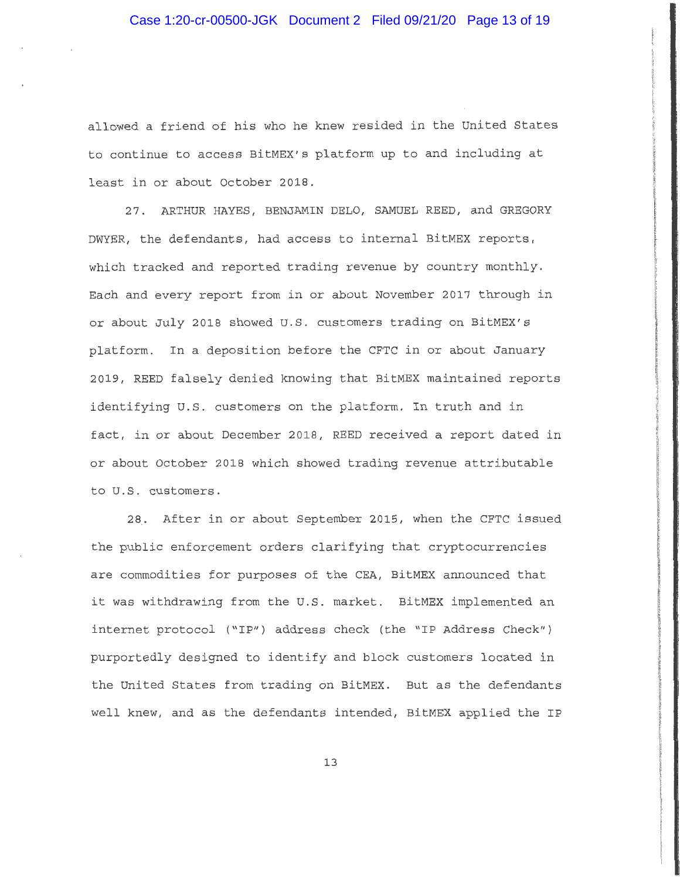allowed a friend of his who he knew resided in the United States to continue to access BitMEX's platform up to and including at least in or about October 2018.

27. ARTHUR HAYES, BENJAMIN DELO, SAMUEL REED, and GREGORY DWYER, the defendants, had access to internal BitMEX reports, which tracked and reported trading revenue by country monthly. Each and every report from in or about November 2017 through in or about July 2018 showed U.S. customers trading on BitMEX's platform. In a deposition before the CFTC in or about January 2019, REED falsely denied knowing that BitMEX maintained reports identifying U.S. customers on the platform. In truth and in fact, in or about December 2018, REED received a report dated in or about October 2018 which showed trading revenue attributable to U.S. customers.

28. After in or about September 2015, when the CFTC issued the public enforcement orders clarifying that cryptocurrencies are commodities for purposes of the CEA, BitMEX announced that it was withdrawing from the U.S. market. BitMEX implemented an internet protocol ("IP") address check (the "IP Address Check") purportedly designed to identify and block customers located in the United States from trading on BitMEX. But as the defendants well knew, and as the defendants intended, BitMEX applied the IP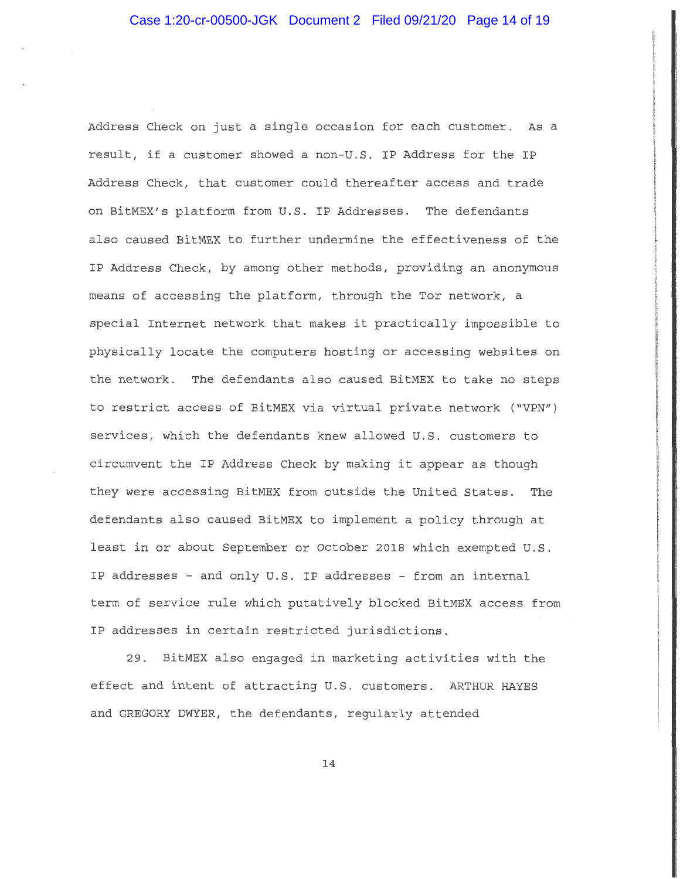Address Check on just a single occasion for each customer. As a result, if a customer showed a non-u.s. IP Address for the IP Address Check, that customer could thereafter access and trade on BitMEX's platform from U.S. IP Addresses. The defendants also caused BitMEX to further undermine the effectiveness of the IP Address Check, by among other methods, providing an anonymous means of accessing the platform, through the Tor network, a special Internet network that makes it practically impossible to physically locate the computers hosting or accessing websites on the network. The defendants also caused BitMEX to take no steps to restrict access of BitMEX via virtual private network ("VPN") services, which the defendants knew allowed U.S. customers to circumvent the IP Address Check by making it appear as though they were accessing BitMEX from outside the United States. The defendants also caused BitMEX to implement a policy through at least in or about September or October 2018 which exempted U.S. IP addresses - and only U.S. IP addresses - from an internal term of service rule which putatively blocked BitMEX access from IP addresses in certain restricted jurisdictions.

29. BitMEX also engaged in marketing activities with the effect and intent of attracting U.S. customers. ARTHUR HAYES and GREGORY DWYER, the defendants, regularly attended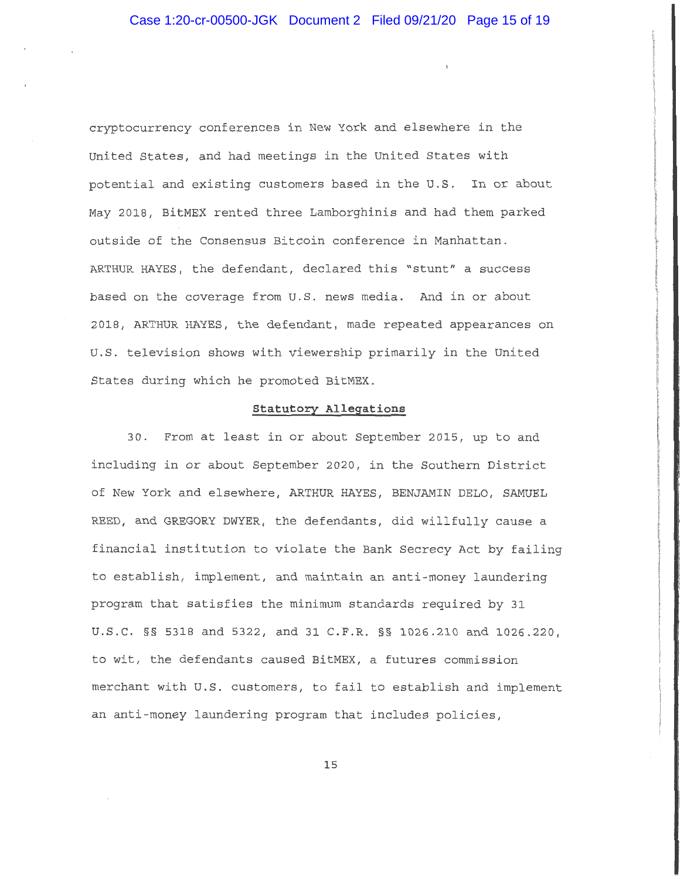cryptocurrency conferences in New York and elsewhere in the United States, and had meetings in the United States with potential and existing customers based in the U.S. In or about May 2018, BitMEX rented three Lamborghinis and had them parked outside of the Consensus Bitcoin conference in Manhattan. ARTHUR HAYES, the defendant, declared this "stunt" a success based on the coverage from U.S. news media. And in or about 2018, ARTHUR HAYES, the defendant, made repeated appearances on U.S. television shows with viewership primarily in the United States during which he promoted BitMEX.

t

## **Statutory Allegations**

30. From at least in or about September 2015, up to and including in or about September 2020, in the Southern District of New York and elsewhere, ARTHUR HAYES, BENJAMIN DELO, SAMUEL REED, and GREGORY DWYER, the defendants, did willfully cause a financial institution to violate the Bank Secrecy Act by failing to establish, implement, and maintain an anti-money laundering program that satisfies the minimum standards required by 31 U.S.C. §§ 5318 and 5322, and 31 C.F.R. §§ 1026.210 and 1026.220, to wit, the defendants caused BitMEX, a futures commission merchant with U.S. customers, to fail to establish and implement an anti-money laundering program that includes policies,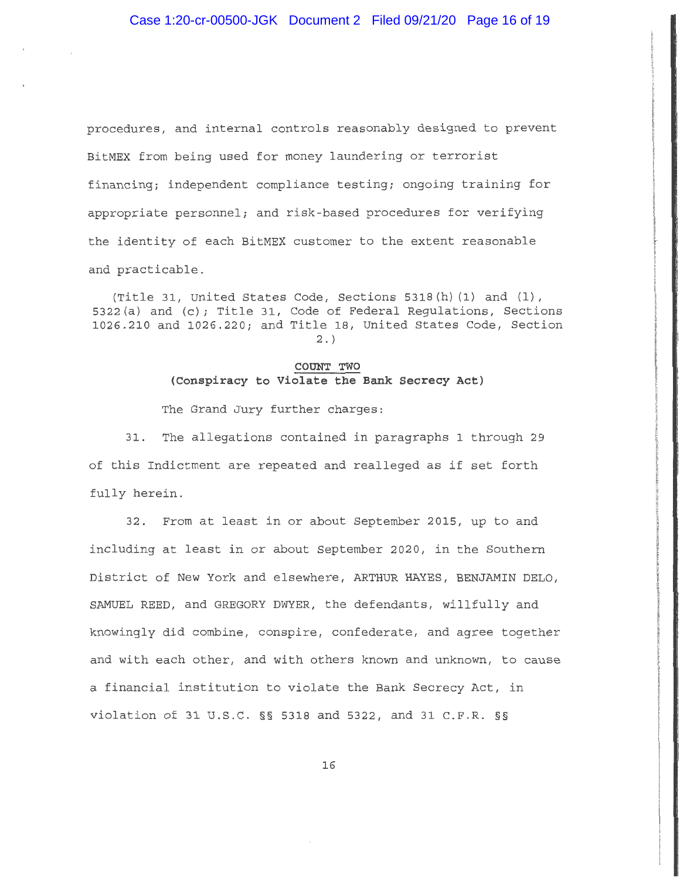procedures, and internal controls reasonably designed to prevent BitMEX from being used for money laundering or terrorist financing; independent compliance testing; ongoing training for appropriate personnel; and risk-based procedures for verifying the identity of each BitMEX customer to the extent reasonable and practicable.

(Title 31, United States Code, Sections 5318(h) (1) and (1), 5322(a) and (c); Title 31, Code of Federal Regulations, Sections 1026.210 and 1026.220; and Title 18, United States Code, Section 2.)

## **COUNT TWO (Conspiracy to Violate the Bank Secrecy Act)**

The Grand Jury further charges:

31. The allegations contained in paragraphs 1 through 29 of this Indictment are repeated and realleged as if set forth fully herein.

32. From at least in or about September 2015, up to and including at least in or about September 2020, in the Southern District of New York and elsewhere, ARTHUR HAYES, BENJAMIN DELO, SAMUEL REED, and GREGORY DWYER, the defendants, willfully and knowingly did combine, conspire, confederate, and agree together and with each other, and with others known and unknown, to cause a financial institution to violate the Bank Secrecy Act, in violation of 31 U.S.C. §§ 5318 and 5322, and 31 C.F.R. §§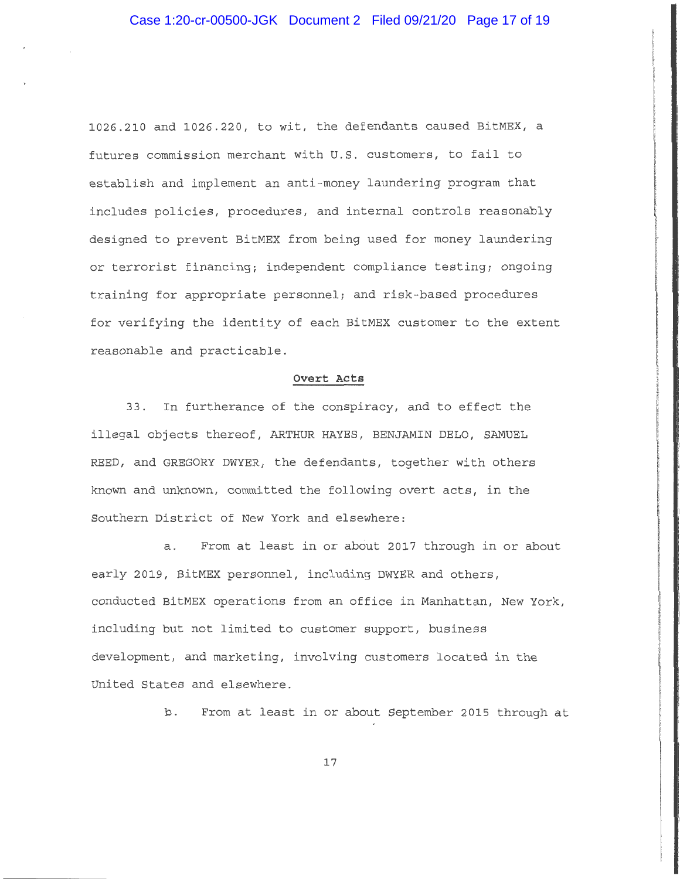1026.210 and 1026.220, to wit, the defendants caused BitMEX, a futures commission merchant with U.S. customers, to fail to establish and implement an anti-money laundering program that includes policies, procedures, and internal controls reasonably designed to prevent BitMEX from being used for money laundering or terrorist financing; independent compliance testing; ongoing training for appropriate personnel; and risk-based procedures for verifying the identity of each BitMEX customer to the extent reasonable and practicable.

## **Overt Acts**

33. In furtherance of the conspiracy, and to effect the illegal objects thereof, ARTHUR HAYES, BENJAMIN DELO, SAMUEL REED, and GREGORY DWYER, the defendants, together with others known and unknown, committed the following overt acts, in the Southern District of New York and elsewhere:

a. From at least in or about 2017 through in or about early 2019, BitMEX personnel, including DWYER and others, conducted BitMEX operations from an office in Manhattan, New York, including but not limited to customer support, business development, and marketing, involving customers located in the United States and elsewhere.

b. From at least in or about September 2015 through at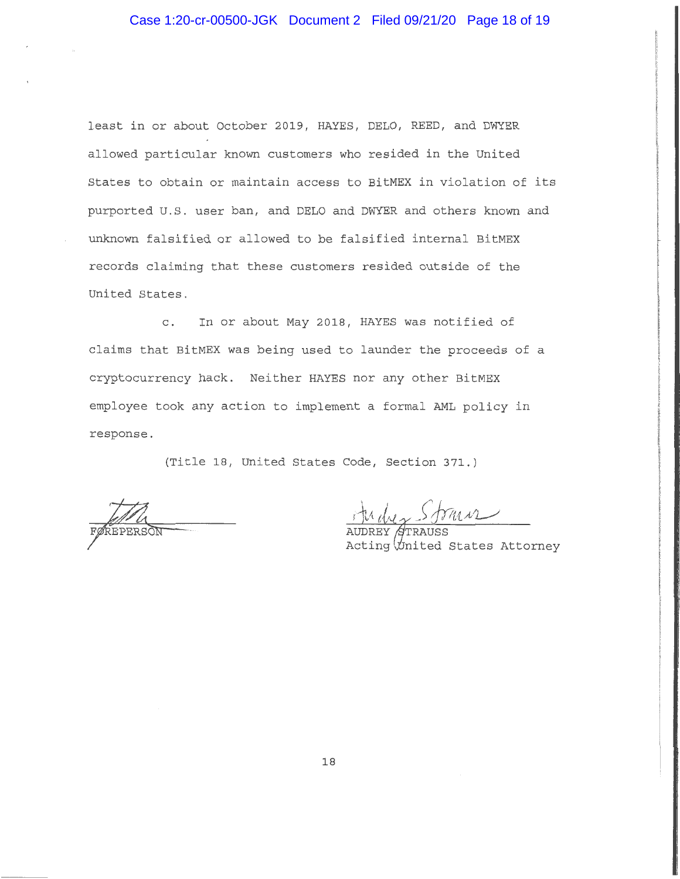# Case 1:20-cr-00500-JGK Document 2 Filed 09/21/20 Page 18 of 19

least in or about October 2019, HAYES, DELO, REED, and DWYER allowed particular known customers who resided in the United States to obtain or maintain access to BitMEX in violation of its purported U.S. user ban, and DELO and DWYER and others known and unknown falsified or allowed to be falsified internal BitMEX records claiming that these customers resided outside of the United States.

c. In or about May 2018, HAYES was notified of claims that BitMEX was being used to launder the proceeds of a cryptocurrency hack. Neither HAYES nor any other BitMEX employee took any action to implement a formal AML policy in response.

(Title 18, United States Code, Section 371.)

theday Strain

Acting *United States Attorney*